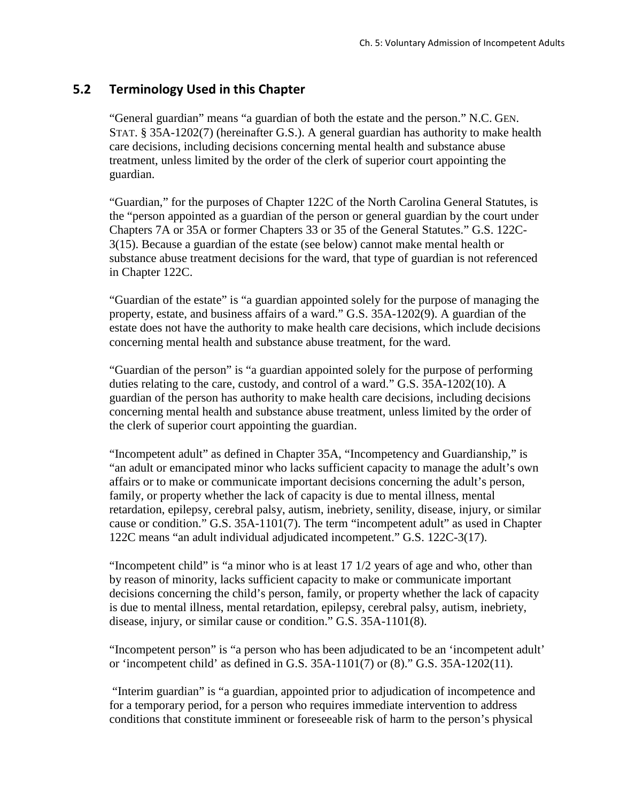## **5.2 Terminology Used in this Chapter**

"General guardian" means "a guardian of both the estate and the person." N.C. GEN. STAT. § 35A-1202(7) (hereinafter G.S.). A general guardian has authority to make health care decisions, including decisions concerning mental health and substance abuse treatment, unless limited by the order of the clerk of superior court appointing the guardian.

"Guardian," for the purposes of Chapter 122C of the North Carolina General Statutes, is the "person appointed as a guardian of the person or general guardian by the court under Chapters 7A or 35A or former Chapters 33 or 35 of the General Statutes." G.S. 122C-3(15). Because a guardian of the estate (see below) cannot make mental health or substance abuse treatment decisions for the ward, that type of guardian is not referenced in Chapter 122C.

"Guardian of the estate" is "a guardian appointed solely for the purpose of managing the property, estate, and business affairs of a ward." G.S. 35A-1202(9). A guardian of the estate does not have the authority to make health care decisions, which include decisions concerning mental health and substance abuse treatment, for the ward.

"Guardian of the person" is "a guardian appointed solely for the purpose of performing duties relating to the care, custody, and control of a ward." G.S. 35A-1202(10). A guardian of the person has authority to make health care decisions, including decisions concerning mental health and substance abuse treatment, unless limited by the order of the clerk of superior court appointing the guardian.

"Incompetent adult" as defined in Chapter 35A, "Incompetency and Guardianship," is "an adult or emancipated minor who lacks sufficient capacity to manage the adult's own affairs or to make or communicate important decisions concerning the adult's person, family, or property whether the lack of capacity is due to mental illness, mental retardation, epilepsy, cerebral palsy, autism, inebriety, senility, disease, injury, or similar cause or condition." G.S. 35A-1101(7). The term "incompetent adult" as used in Chapter 122C means "an adult individual adjudicated incompetent." G.S. 122C-3(17).

"Incompetent child" is "a minor who is at least 17 1/2 years of age and who, other than by reason of minority, lacks sufficient capacity to make or communicate important decisions concerning the child's person, family, or property whether the lack of capacity is due to mental illness, mental retardation, epilepsy, cerebral palsy, autism, inebriety, disease, injury, or similar cause or condition." G.S. 35A-1101(8).

"Incompetent person" is "a person who has been adjudicated to be an 'incompetent adult' or 'incompetent child' as defined in G.S. 35A-1101(7) or (8)." G.S. 35A-1202(11).

"Interim guardian" is "a guardian, appointed prior to adjudication of incompetence and for a temporary period, for a person who requires immediate intervention to address conditions that constitute imminent or foreseeable risk of harm to the person's physical